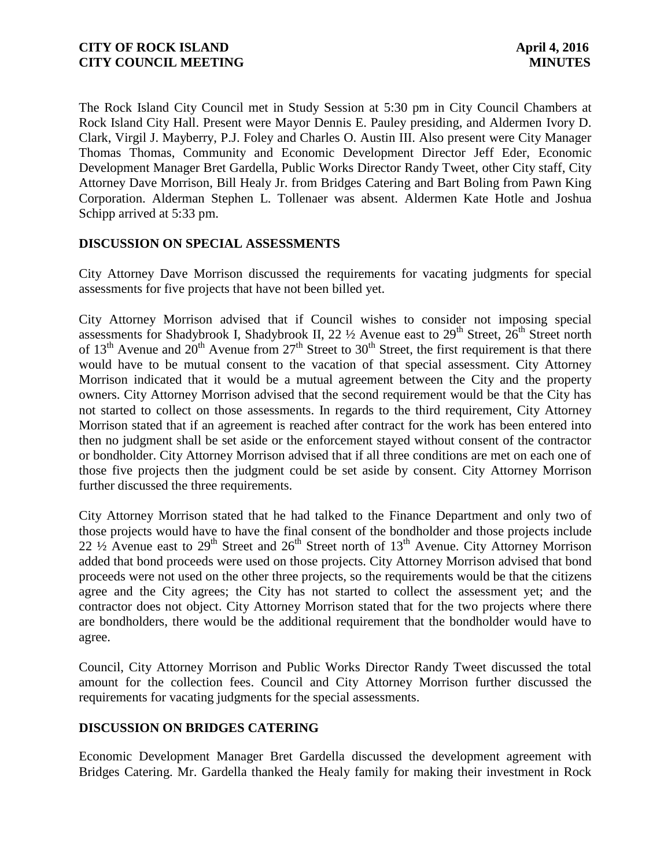The Rock Island City Council met in Study Session at 5:30 pm in City Council Chambers at Rock Island City Hall. Present were Mayor Dennis E. Pauley presiding, and Aldermen Ivory D. Clark, Virgil J. Mayberry, P.J. Foley and Charles O. Austin III. Also present were City Manager Thomas Thomas, Community and Economic Development Director Jeff Eder, Economic Development Manager Bret Gardella, Public Works Director Randy Tweet, other City staff, City Attorney Dave Morrison, Bill Healy Jr. from Bridges Catering and Bart Boling from Pawn King Corporation. Alderman Stephen L. Tollenaer was absent. Aldermen Kate Hotle and Joshua Schipp arrived at 5:33 pm.

# **DISCUSSION ON SPECIAL ASSESSMENTS**

City Attorney Dave Morrison discussed the requirements for vacating judgments for special assessments for five projects that have not been billed yet.

City Attorney Morrison advised that if Council wishes to consider not imposing special assessments for Shadybrook I, Shadybrook II, 22  $\frac{1}{2}$  Avenue east to 29<sup>th</sup> Street, 26<sup>th</sup> Street north of  $13<sup>th</sup>$  Avenue and  $20<sup>th</sup>$  Avenue from  $27<sup>th</sup>$  Street to  $30<sup>th</sup>$  Street, the first requirement is that there would have to be mutual consent to the vacation of that special assessment. City Attorney Morrison indicated that it would be a mutual agreement between the City and the property owners. City Attorney Morrison advised that the second requirement would be that the City has not started to collect on those assessments. In regards to the third requirement, City Attorney Morrison stated that if an agreement is reached after contract for the work has been entered into then no judgment shall be set aside or the enforcement stayed without consent of the contractor or bondholder. City Attorney Morrison advised that if all three conditions are met on each one of those five projects then the judgment could be set aside by consent. City Attorney Morrison further discussed the three requirements.

City Attorney Morrison stated that he had talked to the Finance Department and only two of those projects would have to have the final consent of the bondholder and those projects include  $22 \frac{1}{2}$  Avenue east to  $29<sup>th</sup>$  Street and  $26<sup>th</sup>$  Street north of  $13<sup>th</sup>$  Avenue. City Attorney Morrison added that bond proceeds were used on those projects. City Attorney Morrison advised that bond proceeds were not used on the other three projects, so the requirements would be that the citizens agree and the City agrees; the City has not started to collect the assessment yet; and the contractor does not object. City Attorney Morrison stated that for the two projects where there are bondholders, there would be the additional requirement that the bondholder would have to agree.

Council, City Attorney Morrison and Public Works Director Randy Tweet discussed the total amount for the collection fees. Council and City Attorney Morrison further discussed the requirements for vacating judgments for the special assessments.

### **DISCUSSION ON BRIDGES CATERING**

Economic Development Manager Bret Gardella discussed the development agreement with Bridges Catering. Mr. Gardella thanked the Healy family for making their investment in Rock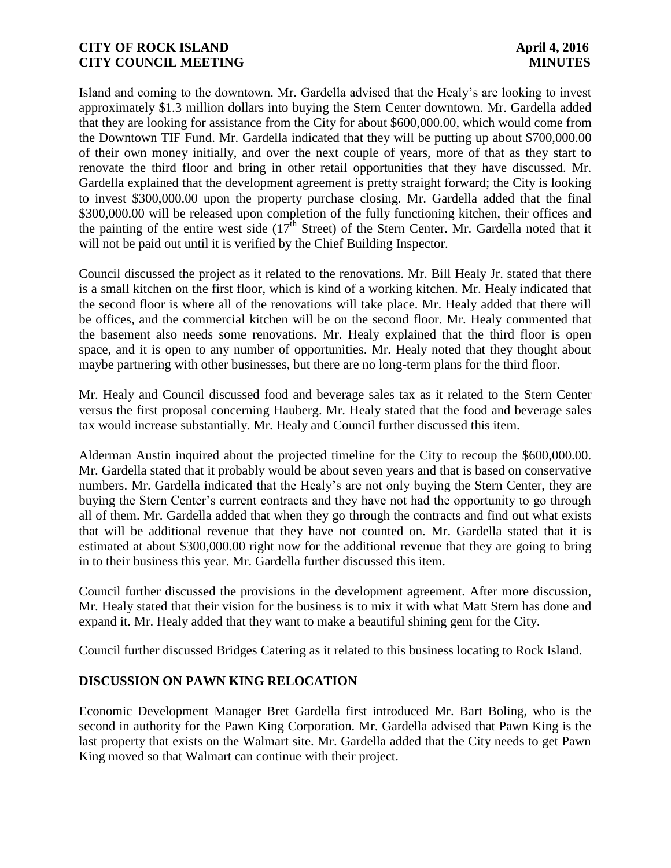Island and coming to the downtown. Mr. Gardella advised that the Healy's are looking to invest approximately \$1.3 million dollars into buying the Stern Center downtown. Mr. Gardella added that they are looking for assistance from the City for about \$600,000.00, which would come from the Downtown TIF Fund. Mr. Gardella indicated that they will be putting up about \$700,000.00 of their own money initially, and over the next couple of years, more of that as they start to renovate the third floor and bring in other retail opportunities that they have discussed. Mr. Gardella explained that the development agreement is pretty straight forward; the City is looking to invest \$300,000.00 upon the property purchase closing. Mr. Gardella added that the final \$300,000.00 will be released upon completion of the fully functioning kitchen, their offices and the painting of the entire west side  $(17<sup>th</sup>$  Street) of the Stern Center. Mr. Gardella noted that it will not be paid out until it is verified by the Chief Building Inspector.

Council discussed the project as it related to the renovations. Mr. Bill Healy Jr. stated that there is a small kitchen on the first floor, which is kind of a working kitchen. Mr. Healy indicated that the second floor is where all of the renovations will take place. Mr. Healy added that there will be offices, and the commercial kitchen will be on the second floor. Mr. Healy commented that the basement also needs some renovations. Mr. Healy explained that the third floor is open space, and it is open to any number of opportunities. Mr. Healy noted that they thought about maybe partnering with other businesses, but there are no long-term plans for the third floor.

Mr. Healy and Council discussed food and beverage sales tax as it related to the Stern Center versus the first proposal concerning Hauberg. Mr. Healy stated that the food and beverage sales tax would increase substantially. Mr. Healy and Council further discussed this item.

Alderman Austin inquired about the projected timeline for the City to recoup the \$600,000.00. Mr. Gardella stated that it probably would be about seven years and that is based on conservative numbers. Mr. Gardella indicated that the Healy's are not only buying the Stern Center, they are buying the Stern Center's current contracts and they have not had the opportunity to go through all of them. Mr. Gardella added that when they go through the contracts and find out what exists that will be additional revenue that they have not counted on. Mr. Gardella stated that it is estimated at about \$300,000.00 right now for the additional revenue that they are going to bring in to their business this year. Mr. Gardella further discussed this item.

Council further discussed the provisions in the development agreement. After more discussion, Mr. Healy stated that their vision for the business is to mix it with what Matt Stern has done and expand it. Mr. Healy added that they want to make a beautiful shining gem for the City.

Council further discussed Bridges Catering as it related to this business locating to Rock Island.

# **DISCUSSION ON PAWN KING RELOCATION**

Economic Development Manager Bret Gardella first introduced Mr. Bart Boling, who is the second in authority for the Pawn King Corporation. Mr. Gardella advised that Pawn King is the last property that exists on the Walmart site. Mr. Gardella added that the City needs to get Pawn King moved so that Walmart can continue with their project.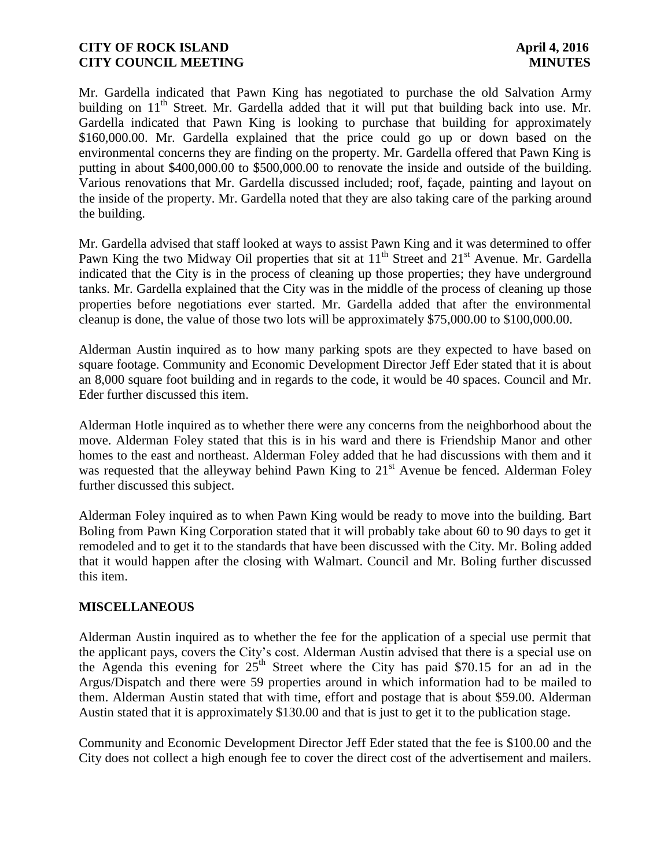Mr. Gardella indicated that Pawn King has negotiated to purchase the old Salvation Army building on  $11<sup>th</sup>$  Street. Mr. Gardella added that it will put that building back into use. Mr. Gardella indicated that Pawn King is looking to purchase that building for approximately \$160,000.00. Mr. Gardella explained that the price could go up or down based on the environmental concerns they are finding on the property. Mr. Gardella offered that Pawn King is putting in about \$400,000.00 to \$500,000.00 to renovate the inside and outside of the building. Various renovations that Mr. Gardella discussed included; roof, façade, painting and layout on the inside of the property. Mr. Gardella noted that they are also taking care of the parking around the building.

Mr. Gardella advised that staff looked at ways to assist Pawn King and it was determined to offer Pawn King the two Midway Oil properties that sit at 11<sup>th</sup> Street and 21<sup>st</sup> Avenue. Mr. Gardella indicated that the City is in the process of cleaning up those properties; they have underground tanks. Mr. Gardella explained that the City was in the middle of the process of cleaning up those properties before negotiations ever started. Mr. Gardella added that after the environmental cleanup is done, the value of those two lots will be approximately \$75,000.00 to \$100,000.00.

Alderman Austin inquired as to how many parking spots are they expected to have based on square footage. Community and Economic Development Director Jeff Eder stated that it is about an 8,000 square foot building and in regards to the code, it would be 40 spaces. Council and Mr. Eder further discussed this item.

Alderman Hotle inquired as to whether there were any concerns from the neighborhood about the move. Alderman Foley stated that this is in his ward and there is Friendship Manor and other homes to the east and northeast. Alderman Foley added that he had discussions with them and it was requested that the alleyway behind Pawn King to  $21<sup>st</sup>$  Avenue be fenced. Alderman Foley further discussed this subject.

Alderman Foley inquired as to when Pawn King would be ready to move into the building. Bart Boling from Pawn King Corporation stated that it will probably take about 60 to 90 days to get it remodeled and to get it to the standards that have been discussed with the City. Mr. Boling added that it would happen after the closing with Walmart. Council and Mr. Boling further discussed this item.

### **MISCELLANEOUS**

Alderman Austin inquired as to whether the fee for the application of a special use permit that the applicant pays, covers the City's cost. Alderman Austin advised that there is a special use on the Agenda this evening for  $25<sup>th</sup>$  Street where the City has paid \$70.15 for an ad in the Argus/Dispatch and there were 59 properties around in which information had to be mailed to them. Alderman Austin stated that with time, effort and postage that is about \$59.00. Alderman Austin stated that it is approximately \$130.00 and that is just to get it to the publication stage.

Community and Economic Development Director Jeff Eder stated that the fee is \$100.00 and the City does not collect a high enough fee to cover the direct cost of the advertisement and mailers.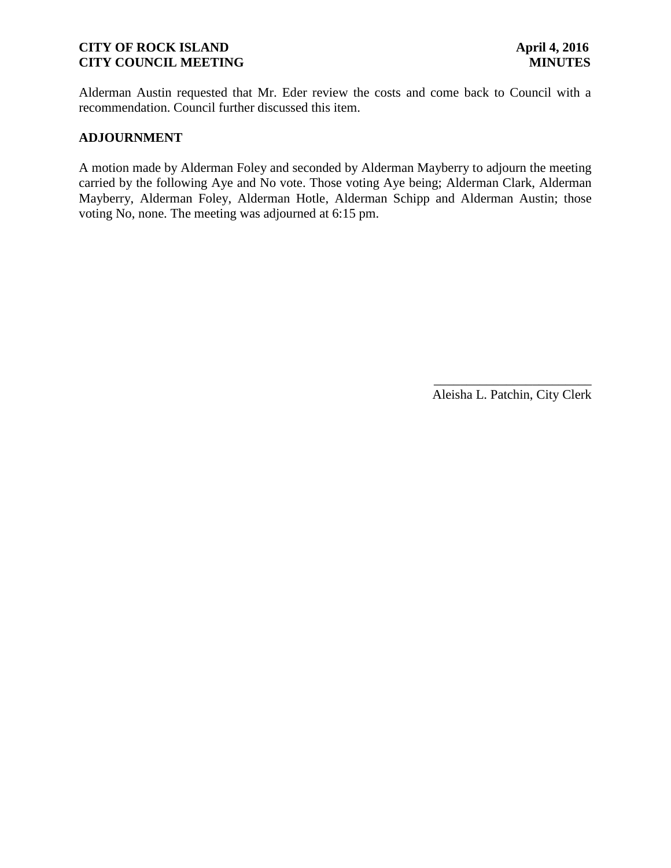Alderman Austin requested that Mr. Eder review the costs and come back to Council with a recommendation. Council further discussed this item.

### **ADJOURNMENT**

A motion made by Alderman Foley and seconded by Alderman Mayberry to adjourn the meeting carried by the following Aye and No vote. Those voting Aye being; Alderman Clark, Alderman Mayberry, Alderman Foley, Alderman Hotle, Alderman Schipp and Alderman Austin; those voting No, none. The meeting was adjourned at 6:15 pm.

> \_\_\_\_\_\_\_\_\_\_\_\_\_\_\_\_\_\_\_\_\_\_\_\_ Aleisha L. Patchin, City Clerk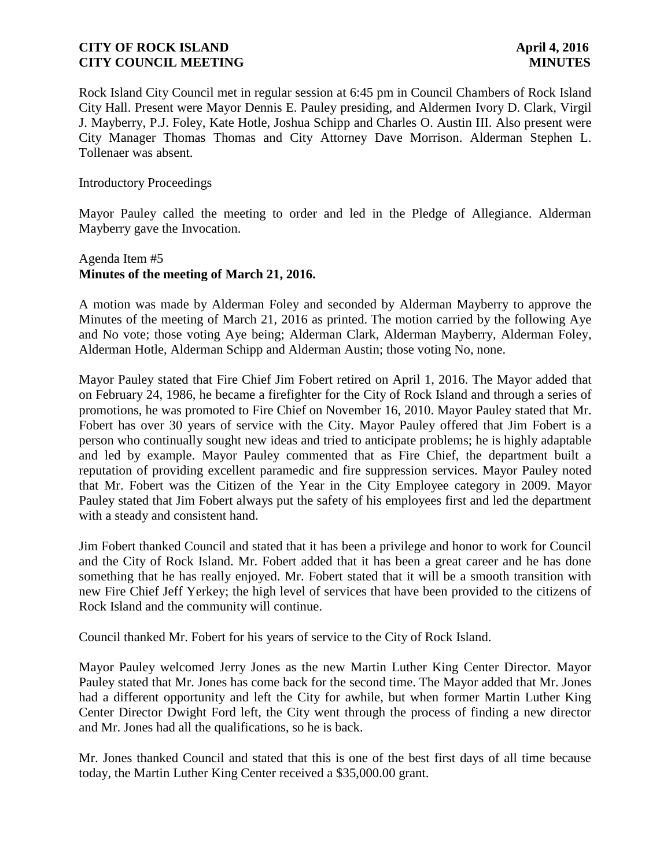Rock Island City Council met in regular session at 6:45 pm in Council Chambers of Rock Island City Hall. Present were Mayor Dennis E. Pauley presiding, and Aldermen Ivory D. Clark, Virgil J. Mayberry, P.J. Foley, Kate Hotle, Joshua Schipp and Charles O. Austin III. Also present were City Manager Thomas Thomas and City Attorney Dave Morrison. Alderman Stephen L. Tollenaer was absent.

### Introductory Proceedings

Mayor Pauley called the meeting to order and led in the Pledge of Allegiance. Alderman Mayberry gave the Invocation.

# Agenda Item #5 **Minutes of the meeting of March 21, 2016.**

A motion was made by Alderman Foley and seconded by Alderman Mayberry to approve the Minutes of the meeting of March 21, 2016 as printed. The motion carried by the following Aye and No vote; those voting Aye being; Alderman Clark, Alderman Mayberry, Alderman Foley, Alderman Hotle, Alderman Schipp and Alderman Austin; those voting No, none.

Mayor Pauley stated that Fire Chief Jim Fobert retired on April 1, 2016. The Mayor added that on February 24, 1986, he became a firefighter for the City of Rock Island and through a series of promotions, he was promoted to Fire Chief on November 16, 2010. Mayor Pauley stated that Mr. Fobert has over 30 years of service with the City. Mayor Pauley offered that Jim Fobert is a person who continually sought new ideas and tried to anticipate problems; he is highly adaptable and led by example. Mayor Pauley commented that as Fire Chief, the department built a reputation of providing excellent paramedic and fire suppression services. Mayor Pauley noted that Mr. Fobert was the Citizen of the Year in the City Employee category in 2009. Mayor Pauley stated that Jim Fobert always put the safety of his employees first and led the department with a steady and consistent hand.

Jim Fobert thanked Council and stated that it has been a privilege and honor to work for Council and the City of Rock Island. Mr. Fobert added that it has been a great career and he has done something that he has really enjoyed. Mr. Fobert stated that it will be a smooth transition with new Fire Chief Jeff Yerkey; the high level of services that have been provided to the citizens of Rock Island and the community will continue.

Council thanked Mr. Fobert for his years of service to the City of Rock Island.

Mayor Pauley welcomed Jerry Jones as the new Martin Luther King Center Director. Mayor Pauley stated that Mr. Jones has come back for the second time. The Mayor added that Mr. Jones had a different opportunity and left the City for awhile, but when former Martin Luther King Center Director Dwight Ford left, the City went through the process of finding a new director and Mr. Jones had all the qualifications, so he is back.

Mr. Jones thanked Council and stated that this is one of the best first days of all time because today, the Martin Luther King Center received a \$35,000.00 grant.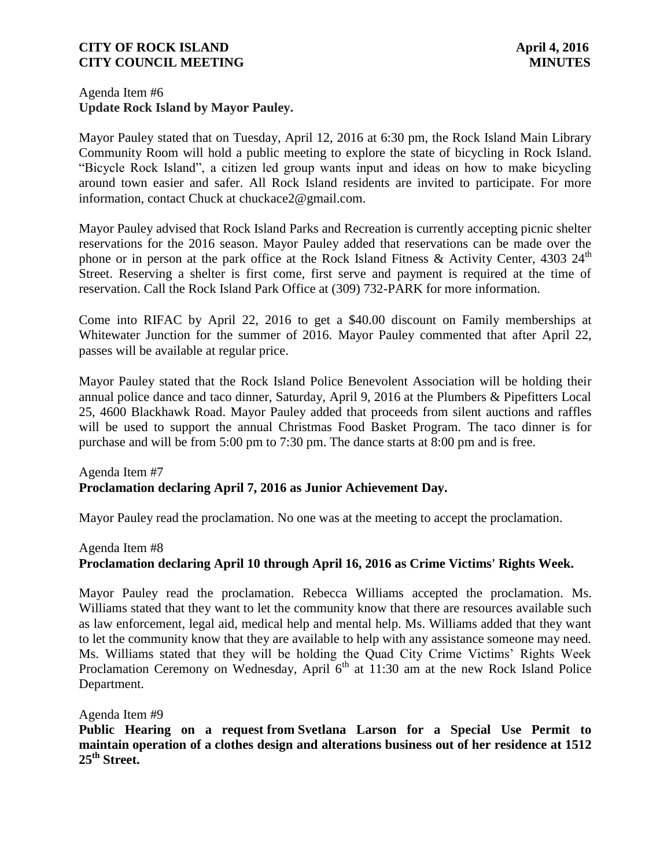### Agenda Item #6 **Update Rock Island by Mayor Pauley.**

Mayor Pauley stated that on Tuesday, April 12, 2016 at 6:30 pm, the Rock Island Main Library Community Room will hold a public meeting to explore the state of bicycling in Rock Island. "Bicycle Rock Island", a citizen led group wants input and ideas on how to make bicycling around town easier and safer. All Rock Island residents are invited to participate. For more information, contact Chuck at chuckace2@gmail.com.

Mayor Pauley advised that Rock Island Parks and Recreation is currently accepting picnic shelter reservations for the 2016 season. Mayor Pauley added that reservations can be made over the phone or in person at the park office at the Rock Island Fitness & Activity Center, 4303  $24^{\text{th}}$ Street. Reserving a shelter is first come, first serve and payment is required at the time of reservation. Call the Rock Island Park Office at (309) 732-PARK for more information.

Come into RIFAC by April 22, 2016 to get a \$40.00 discount on Family memberships at Whitewater Junction for the summer of 2016. Mayor Pauley commented that after April 22, passes will be available at regular price.

Mayor Pauley stated that the Rock Island Police Benevolent Association will be holding their annual police dance and taco dinner, Saturday, April 9, 2016 at the Plumbers & Pipefitters Local 25, 4600 Blackhawk Road. Mayor Pauley added that proceeds from silent auctions and raffles will be used to support the annual Christmas Food Basket Program. The taco dinner is for purchase and will be from 5:00 pm to 7:30 pm. The dance starts at 8:00 pm and is free.

# Agenda Item #7 **Proclamation declaring April 7, 2016 as Junior Achievement Day.**

Mayor Pauley read the proclamation. No one was at the meeting to accept the proclamation.

### Agenda Item #8

# **Proclamation declaring April 10 through April 16, 2016 as Crime Victims' Rights Week.**

Mayor Pauley read the proclamation. Rebecca Williams accepted the proclamation. Ms. Williams stated that they want to let the community know that there are resources available such as law enforcement, legal aid, medical help and mental help. Ms. Williams added that they want to let the community know that they are available to help with any assistance someone may need. Ms. Williams stated that they will be holding the Quad City Crime Victims' Rights Week Proclamation Ceremony on Wednesday, April  $6<sup>th</sup>$  at 11:30 am at the new Rock Island Police Department.

Agenda Item #9

**Public Hearing on a request from Svetlana Larson for a Special Use Permit to maintain operation of a clothes design and alterations business out of her residence at 1512 25th Street.**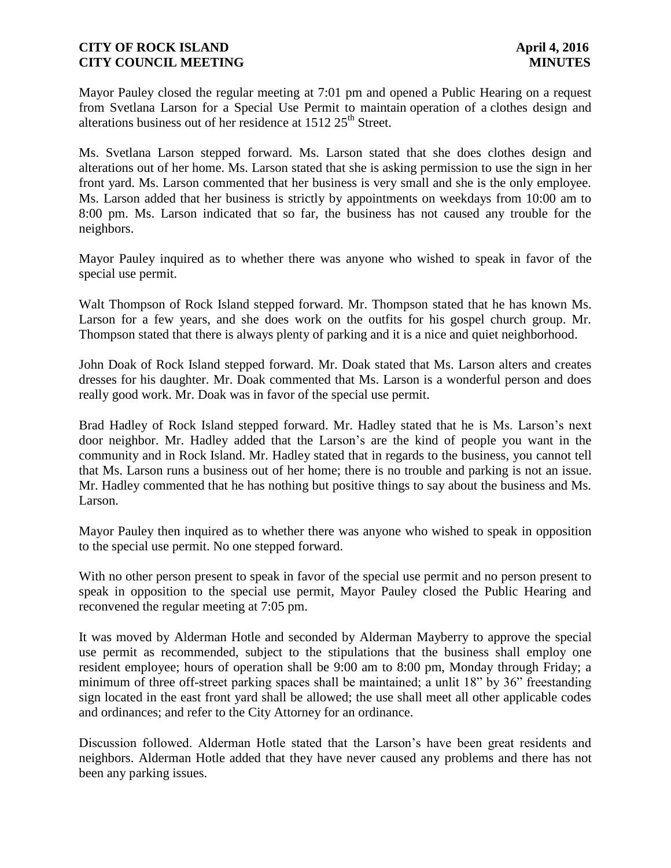Mayor Pauley closed the regular meeting at 7:01 pm and opened a Public Hearing on a request from Svetlana Larson for a Special Use Permit to maintain operation of a clothes design and alterations business out of her residence at  $1512 25<sup>th</sup>$  Street.

Ms. Svetlana Larson stepped forward. Ms. Larson stated that she does clothes design and alterations out of her home. Ms. Larson stated that she is asking permission to use the sign in her front yard. Ms. Larson commented that her business is very small and she is the only employee. Ms. Larson added that her business is strictly by appointments on weekdays from 10:00 am to 8:00 pm. Ms. Larson indicated that so far, the business has not caused any trouble for the neighbors.

Mayor Pauley inquired as to whether there was anyone who wished to speak in favor of the special use permit.

Walt Thompson of Rock Island stepped forward. Mr. Thompson stated that he has known Ms. Larson for a few years, and she does work on the outfits for his gospel church group. Mr. Thompson stated that there is always plenty of parking and it is a nice and quiet neighborhood.

John Doak of Rock Island stepped forward. Mr. Doak stated that Ms. Larson alters and creates dresses for his daughter. Mr. Doak commented that Ms. Larson is a wonderful person and does really good work. Mr. Doak was in favor of the special use permit.

Brad Hadley of Rock Island stepped forward. Mr. Hadley stated that he is Ms. Larson's next door neighbor. Mr. Hadley added that the Larson's are the kind of people you want in the community and in Rock Island. Mr. Hadley stated that in regards to the business, you cannot tell that Ms. Larson runs a business out of her home; there is no trouble and parking is not an issue. Mr. Hadley commented that he has nothing but positive things to say about the business and Ms. Larson.

Mayor Pauley then inquired as to whether there was anyone who wished to speak in opposition to the special use permit. No one stepped forward.

With no other person present to speak in favor of the special use permit and no person present to speak in opposition to the special use permit, Mayor Pauley closed the Public Hearing and reconvened the regular meeting at 7:05 pm.

It was moved by Alderman Hotle and seconded by Alderman Mayberry to approve the special use permit as recommended, subject to the stipulations that the business shall employ one resident employee; hours of operation shall be 9:00 am to 8:00 pm, Monday through Friday; a minimum of three off-street parking spaces shall be maintained; a unlit 18" by 36" freestanding sign located in the east front yard shall be allowed; the use shall meet all other applicable codes and ordinances; and refer to the City Attorney for an ordinance.

Discussion followed. Alderman Hotle stated that the Larson's have been great residents and neighbors. Alderman Hotle added that they have never caused any problems and there has not been any parking issues.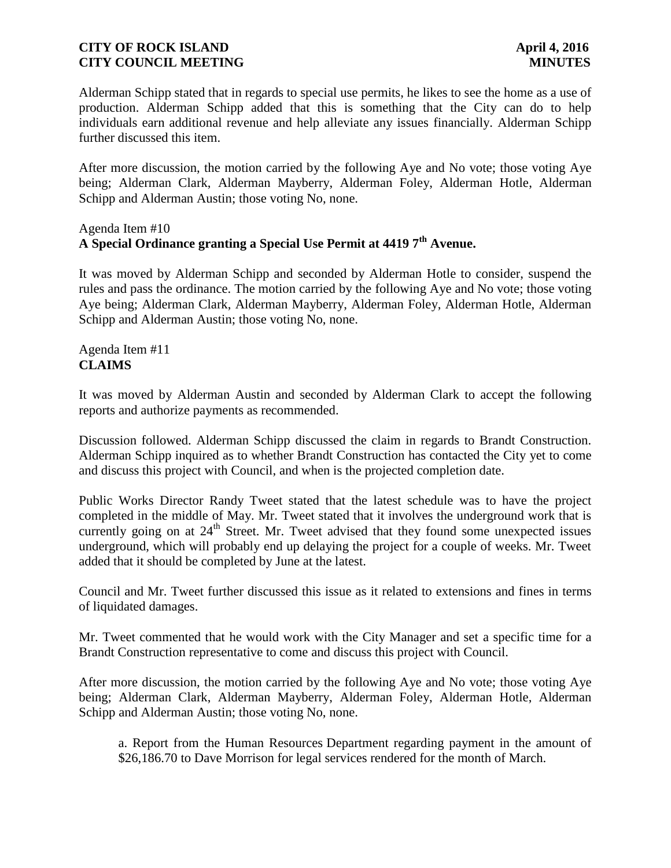Alderman Schipp stated that in regards to special use permits, he likes to see the home as a use of production. Alderman Schipp added that this is something that the City can do to help individuals earn additional revenue and help alleviate any issues financially. Alderman Schipp further discussed this item.

After more discussion, the motion carried by the following Aye and No vote; those voting Aye being; Alderman Clark, Alderman Mayberry, Alderman Foley, Alderman Hotle, Alderman Schipp and Alderman Austin; those voting No, none.

# Agenda Item #10 **A Special Ordinance granting a Special Use Permit at 4419 7th Avenue.**

It was moved by Alderman Schipp and seconded by Alderman Hotle to consider, suspend the rules and pass the ordinance. The motion carried by the following Aye and No vote; those voting Aye being; Alderman Clark, Alderman Mayberry, Alderman Foley, Alderman Hotle, Alderman Schipp and Alderman Austin; those voting No, none.

Agenda Item #11 **CLAIMS**

It was moved by Alderman Austin and seconded by Alderman Clark to accept the following reports and authorize payments as recommended.

Discussion followed. Alderman Schipp discussed the claim in regards to Brandt Construction. Alderman Schipp inquired as to whether Brandt Construction has contacted the City yet to come and discuss this project with Council, and when is the projected completion date.

Public Works Director Randy Tweet stated that the latest schedule was to have the project completed in the middle of May. Mr. Tweet stated that it involves the underground work that is currently going on at 24<sup>th</sup> Street. Mr. Tweet advised that they found some unexpected issues underground, which will probably end up delaying the project for a couple of weeks. Mr. Tweet added that it should be completed by June at the latest.

Council and Mr. Tweet further discussed this issue as it related to extensions and fines in terms of liquidated damages.

Mr. Tweet commented that he would work with the City Manager and set a specific time for a Brandt Construction representative to come and discuss this project with Council.

After more discussion, the motion carried by the following Aye and No vote; those voting Aye being; Alderman Clark, Alderman Mayberry, Alderman Foley, Alderman Hotle, Alderman Schipp and Alderman Austin; those voting No, none.

a. Report from the Human Resources Department regarding payment in the amount of \$26,186.70 to Dave Morrison for legal services rendered for the month of March.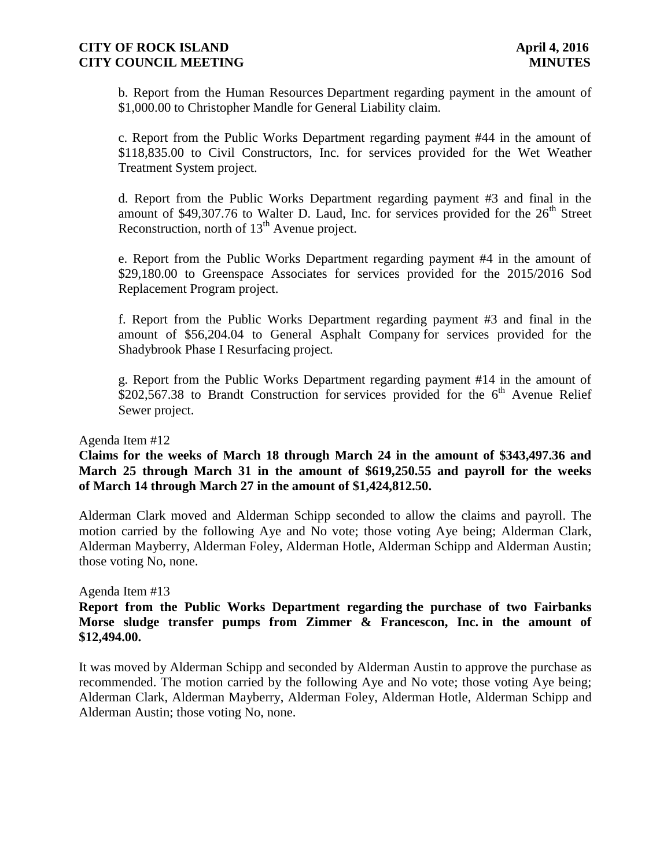b. Report from the Human Resources Department regarding payment in the amount of \$1,000.00 to Christopher Mandle for General Liability claim.

c. Report from the Public Works Department regarding payment #44 in the amount of \$118,835.00 to Civil Constructors, Inc. for services provided for the Wet Weather Treatment System project.

d. Report from the Public Works Department regarding payment #3 and final in the amount of \$49,307.76 to Walter D. Laud, Inc. for services provided for the  $26<sup>th</sup>$  Street Reconstruction, north of  $13<sup>th</sup>$  Avenue project.

e. Report from the Public Works Department regarding payment #4 in the amount of \$29,180.00 to Greenspace Associates for services provided for the 2015/2016 Sod Replacement Program project.

f. Report from the Public Works Department regarding payment #3 and final in the amount of \$56,204.04 to General Asphalt Company for services provided for the Shadybrook Phase I Resurfacing project.

g. Report from the Public Works Department regarding payment #14 in the amount of  $$202,567.38$  to Brandt Construction for services provided for the 6<sup>th</sup> Avenue Relief Sewer project.

#### Agenda Item #12

**Claims for the weeks of March 18 through March 24 in the amount of \$343,497.36 and March 25 through March 31 in the amount of \$619,250.55 and payroll for the weeks of March 14 through March 27 in the amount of \$1,424,812.50.**

Alderman Clark moved and Alderman Schipp seconded to allow the claims and payroll. The motion carried by the following Aye and No vote; those voting Aye being; Alderman Clark, Alderman Mayberry, Alderman Foley, Alderman Hotle, Alderman Schipp and Alderman Austin; those voting No, none.

#### Agenda Item #13

### **Report from the Public Works Department regarding the purchase of two Fairbanks Morse sludge transfer pumps from Zimmer & Francescon, Inc. in the amount of \$12,494.00.**

It was moved by Alderman Schipp and seconded by Alderman Austin to approve the purchase as recommended. The motion carried by the following Aye and No vote; those voting Aye being; Alderman Clark, Alderman Mayberry, Alderman Foley, Alderman Hotle, Alderman Schipp and Alderman Austin; those voting No, none.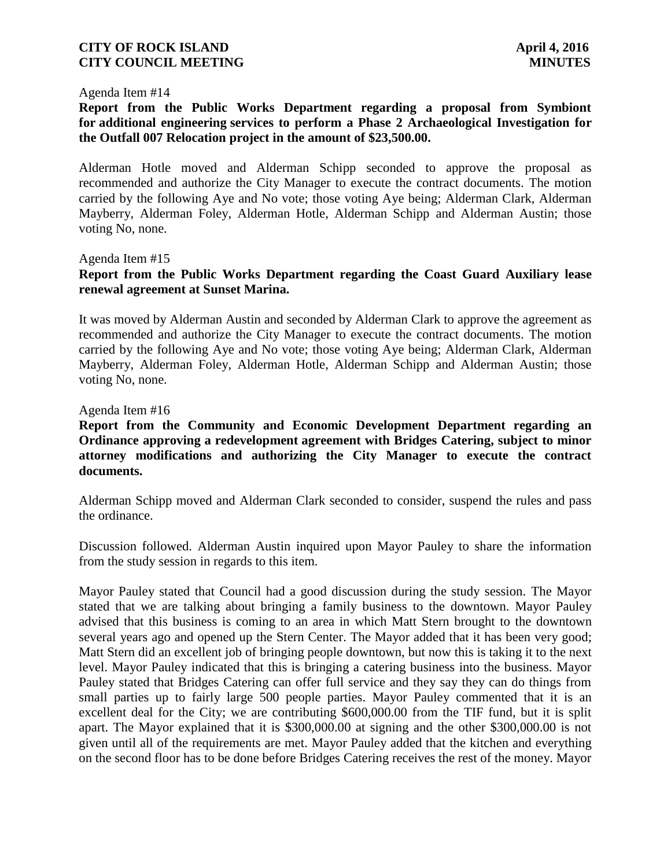#### Agenda Item #14

**Report from the Public Works Department regarding a proposal from Symbiont for additional engineering services to perform a Phase 2 Archaeological Investigation for the Outfall 007 Relocation project in the amount of \$23,500.00.**

Alderman Hotle moved and Alderman Schipp seconded to approve the proposal as recommended and authorize the City Manager to execute the contract documents. The motion carried by the following Aye and No vote; those voting Aye being; Alderman Clark, Alderman Mayberry, Alderman Foley, Alderman Hotle, Alderman Schipp and Alderman Austin; those voting No, none.

Agenda Item #15

# **Report from the Public Works Department regarding the Coast Guard Auxiliary lease renewal agreement at Sunset Marina.**

It was moved by Alderman Austin and seconded by Alderman Clark to approve the agreement as recommended and authorize the City Manager to execute the contract documents. The motion carried by the following Aye and No vote; those voting Aye being; Alderman Clark, Alderman Mayberry, Alderman Foley, Alderman Hotle, Alderman Schipp and Alderman Austin; those voting No, none.

#### Agenda Item #16

**Report from the Community and Economic Development Department regarding an Ordinance approving a redevelopment agreement with Bridges Catering, subject to minor attorney modifications and authorizing the City Manager to execute the contract documents.**

Alderman Schipp moved and Alderman Clark seconded to consider, suspend the rules and pass the ordinance.

Discussion followed. Alderman Austin inquired upon Mayor Pauley to share the information from the study session in regards to this item.

Mayor Pauley stated that Council had a good discussion during the study session. The Mayor stated that we are talking about bringing a family business to the downtown. Mayor Pauley advised that this business is coming to an area in which Matt Stern brought to the downtown several years ago and opened up the Stern Center. The Mayor added that it has been very good; Matt Stern did an excellent job of bringing people downtown, but now this is taking it to the next level. Mayor Pauley indicated that this is bringing a catering business into the business. Mayor Pauley stated that Bridges Catering can offer full service and they say they can do things from small parties up to fairly large 500 people parties. Mayor Pauley commented that it is an excellent deal for the City; we are contributing \$600,000.00 from the TIF fund, but it is split apart. The Mayor explained that it is \$300,000.00 at signing and the other \$300,000.00 is not given until all of the requirements are met. Mayor Pauley added that the kitchen and everything on the second floor has to be done before Bridges Catering receives the rest of the money. Mayor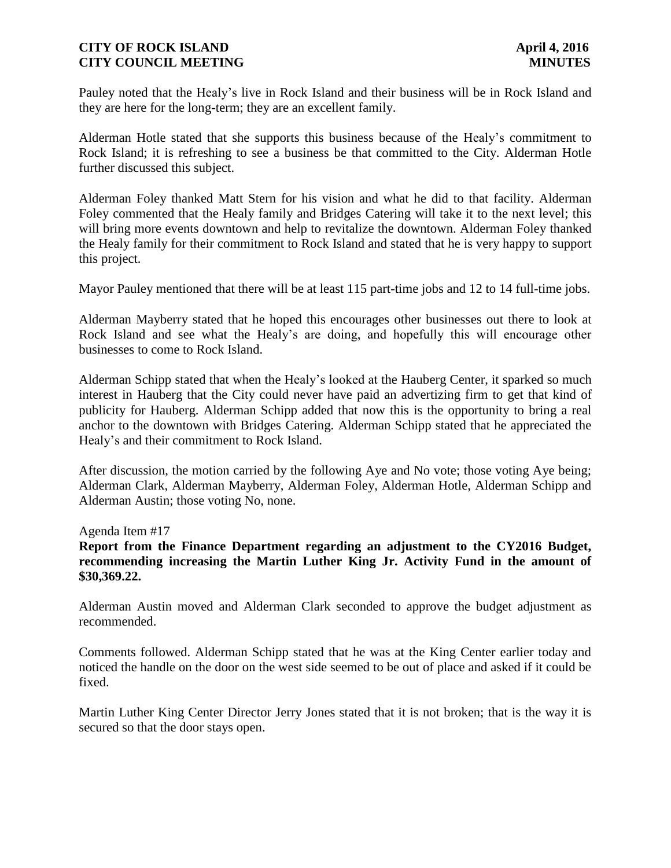Pauley noted that the Healy's live in Rock Island and their business will be in Rock Island and they are here for the long-term; they are an excellent family.

Alderman Hotle stated that she supports this business because of the Healy's commitment to Rock Island; it is refreshing to see a business be that committed to the City. Alderman Hotle further discussed this subject.

Alderman Foley thanked Matt Stern for his vision and what he did to that facility. Alderman Foley commented that the Healy family and Bridges Catering will take it to the next level; this will bring more events downtown and help to revitalize the downtown. Alderman Foley thanked the Healy family for their commitment to Rock Island and stated that he is very happy to support this project.

Mayor Pauley mentioned that there will be at least 115 part-time jobs and 12 to 14 full-time jobs.

Alderman Mayberry stated that he hoped this encourages other businesses out there to look at Rock Island and see what the Healy's are doing, and hopefully this will encourage other businesses to come to Rock Island.

Alderman Schipp stated that when the Healy's looked at the Hauberg Center, it sparked so much interest in Hauberg that the City could never have paid an advertizing firm to get that kind of publicity for Hauberg. Alderman Schipp added that now this is the opportunity to bring a real anchor to the downtown with Bridges Catering. Alderman Schipp stated that he appreciated the Healy's and their commitment to Rock Island.

After discussion, the motion carried by the following Aye and No vote; those voting Aye being; Alderman Clark, Alderman Mayberry, Alderman Foley, Alderman Hotle, Alderman Schipp and Alderman Austin; those voting No, none.

Agenda Item #17

**Report from the Finance Department regarding an adjustment to the CY2016 Budget, recommending increasing the Martin Luther King Jr. Activity Fund in the amount of \$30,369.22.**

Alderman Austin moved and Alderman Clark seconded to approve the budget adjustment as recommended.

Comments followed. Alderman Schipp stated that he was at the King Center earlier today and noticed the handle on the door on the west side seemed to be out of place and asked if it could be fixed.

Martin Luther King Center Director Jerry Jones stated that it is not broken; that is the way it is secured so that the door stays open.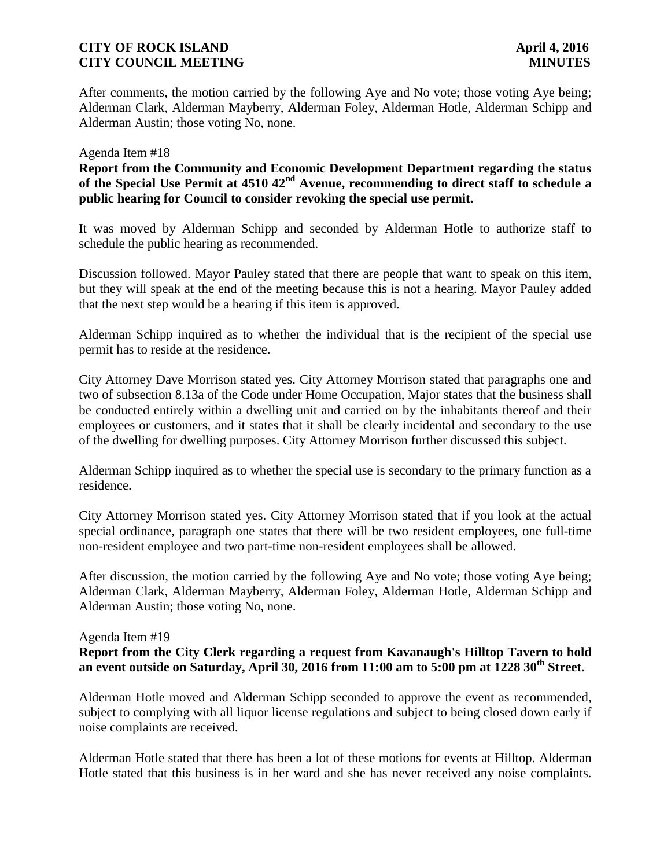After comments, the motion carried by the following Aye and No vote; those voting Aye being; Alderman Clark, Alderman Mayberry, Alderman Foley, Alderman Hotle, Alderman Schipp and Alderman Austin; those voting No, none.

#### Agenda Item #18

**Report from the Community and Economic Development Department regarding the status of the Special Use Permit at 4510 42nd Avenue, recommending to direct staff to schedule a public hearing for Council to consider revoking the special use permit.**

It was moved by Alderman Schipp and seconded by Alderman Hotle to authorize staff to schedule the public hearing as recommended.

Discussion followed. Mayor Pauley stated that there are people that want to speak on this item, but they will speak at the end of the meeting because this is not a hearing. Mayor Pauley added that the next step would be a hearing if this item is approved.

Alderman Schipp inquired as to whether the individual that is the recipient of the special use permit has to reside at the residence.

City Attorney Dave Morrison stated yes. City Attorney Morrison stated that paragraphs one and two of subsection 8.13a of the Code under Home Occupation, Major states that the business shall be conducted entirely within a dwelling unit and carried on by the inhabitants thereof and their employees or customers, and it states that it shall be clearly incidental and secondary to the use of the dwelling for dwelling purposes. City Attorney Morrison further discussed this subject.

Alderman Schipp inquired as to whether the special use is secondary to the primary function as a residence.

City Attorney Morrison stated yes. City Attorney Morrison stated that if you look at the actual special ordinance, paragraph one states that there will be two resident employees, one full-time non-resident employee and two part-time non-resident employees shall be allowed.

After discussion, the motion carried by the following Aye and No vote; those voting Aye being; Alderman Clark, Alderman Mayberry, Alderman Foley, Alderman Hotle, Alderman Schipp and Alderman Austin; those voting No, none.

# Agenda Item #19

# **Report from the City Clerk regarding a request from Kavanaugh's Hilltop Tavern to hold an event outside on Saturday, April 30, 2016 from 11:00 am to 5:00 pm at 1228 30th Street.**

Alderman Hotle moved and Alderman Schipp seconded to approve the event as recommended, subject to complying with all liquor license regulations and subject to being closed down early if noise complaints are received.

Alderman Hotle stated that there has been a lot of these motions for events at Hilltop. Alderman Hotle stated that this business is in her ward and she has never received any noise complaints.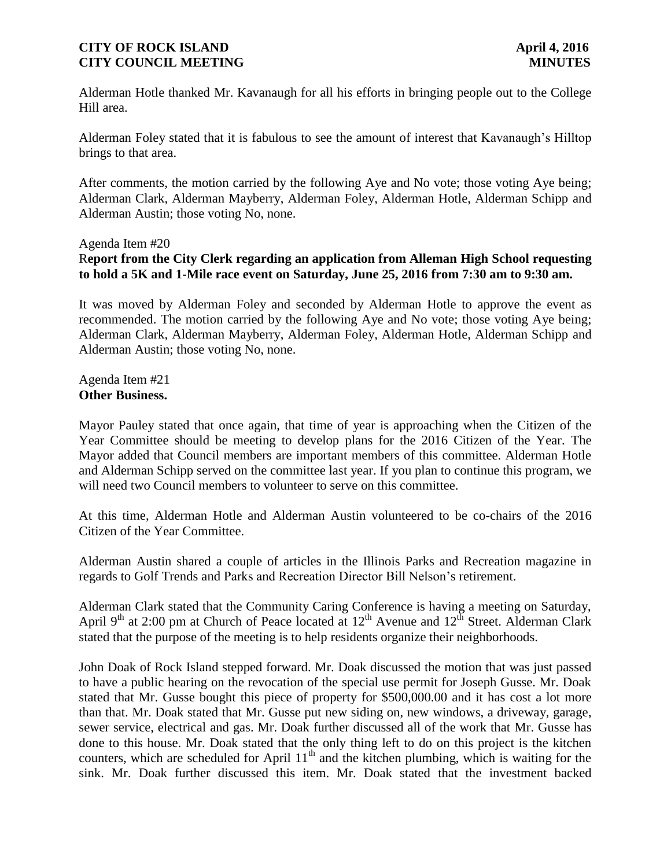Alderman Hotle thanked Mr. Kavanaugh for all his efforts in bringing people out to the College Hill area.

Alderman Foley stated that it is fabulous to see the amount of interest that Kavanaugh's Hilltop brings to that area.

After comments, the motion carried by the following Aye and No vote; those voting Aye being; Alderman Clark, Alderman Mayberry, Alderman Foley, Alderman Hotle, Alderman Schipp and Alderman Austin; those voting No, none.

#### Agenda Item #20

# R**eport from the City Clerk regarding an application from Alleman High School requesting to hold a 5K and 1-Mile race event on Saturday, June 25, 2016 from 7:30 am to 9:30 am.**

It was moved by Alderman Foley and seconded by Alderman Hotle to approve the event as recommended. The motion carried by the following Aye and No vote; those voting Aye being; Alderman Clark, Alderman Mayberry, Alderman Foley, Alderman Hotle, Alderman Schipp and Alderman Austin; those voting No, none.

Agenda Item #21 **Other Business.**

Mayor Pauley stated that once again, that time of year is approaching when the Citizen of the Year Committee should be meeting to develop plans for the 2016 Citizen of the Year. The Mayor added that Council members are important members of this committee. Alderman Hotle and Alderman Schipp served on the committee last year. If you plan to continue this program, we will need two Council members to volunteer to serve on this committee.

At this time, Alderman Hotle and Alderman Austin volunteered to be co-chairs of the 2016 Citizen of the Year Committee.

Alderman Austin shared a couple of articles in the Illinois Parks and Recreation magazine in regards to Golf Trends and Parks and Recreation Director Bill Nelson's retirement.

Alderman Clark stated that the Community Caring Conference is having a meeting on Saturday, April 9<sup>th</sup> at 2:00 pm at Church of Peace located at  $12<sup>th</sup>$  Avenue and  $12<sup>th</sup>$  Street. Alderman Clark stated that the purpose of the meeting is to help residents organize their neighborhoods.

John Doak of Rock Island stepped forward. Mr. Doak discussed the motion that was just passed to have a public hearing on the revocation of the special use permit for Joseph Gusse. Mr. Doak stated that Mr. Gusse bought this piece of property for \$500,000.00 and it has cost a lot more than that. Mr. Doak stated that Mr. Gusse put new siding on, new windows, a driveway, garage, sewer service, electrical and gas. Mr. Doak further discussed all of the work that Mr. Gusse has done to this house. Mr. Doak stated that the only thing left to do on this project is the kitchen counters, which are scheduled for April  $11<sup>th</sup>$  and the kitchen plumbing, which is waiting for the sink. Mr. Doak further discussed this item. Mr. Doak stated that the investment backed